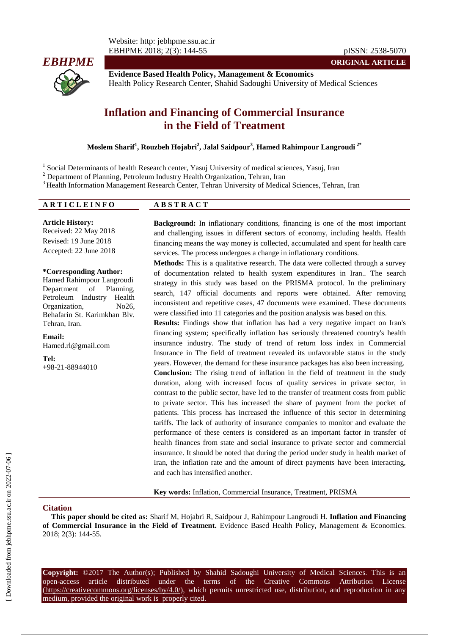*EBHPME*

**Evidence Based Health Policy, Management & Economics** Health Policy Research Center, Shahid Sadoughi University of Medical Sciences

## **Inflation and Financing of Commercial Insurance in the Field of Treatment**

**Moslem Sharif<sup>1</sup> , Rouzbeh Hojabri<sup>2</sup> , Jalal Saidpour<sup>3</sup> , Hamed Rahimpour Langroudi 2\***

<sup>1</sup> Social Determinants of health Research center, Yasuj University of medical sciences, Yasuj, Iran

<sup>2</sup> Department of Planning, Petroleum Industry Health Organization, Tehran, Iran

<sup>3</sup> Health Information Management Research Center, Tehran University of Medical Sciences, Tehran, Iran

| <b>ARTICLEINFO</b> | A D C T D A <i>C</i> T |  |
|--------------------|------------------------|--|
|                    |                        |  |

**Article History:** Received: 22 May 2018 Revised: 19 June 2018 Accepted: 22 June 2018

Hamed Rahimpour Langroudi Department of Planning, Petroleum Industry Health Organization, No26, Behafarin St. Karimkhan Blv. Tehran, Iran.

**Background:** In inflationary conditions, financing is one of the most important and challenging issues in different sectors of economy, including health. Health financing means the way money is collected, accumulated and spent for health care services. The process undergoes a change in inflationary conditions.

**ORIGINAL ARTICLE**

#### **\*Corresponding Author:**

**Email:** Hamed.rl@gmail.com

**Tel:** +98-21-88944010

# **Methods:** This is a qualitative research. The data were collected through a survey

of documentation related to health system expenditures in Iran.. The search strategy in this study was based on the PRISMA protocol. In the preliminary search, 147 official documents and reports were obtained. After removing inconsistent and repetitive cases, 47 documents were examined. These documents were classified into 11 categories and the position analysis was based on this.

**Results:** Findings show that inflation has had a very negative impact on Iran's financing system; specifically inflation has seriously threatened country's health insurance industry. The study of trend of return loss index in Commercial Insurance in The field of treatment revealed its unfavorable status in the study years. However, the demand for these insurance packages has also been increasing. **Conclusion:** The rising trend of inflation in the field of treatment in the study duration, along with increased focus of quality services in private sector, in contrast to the public sector, have led to the transfer of treatment costs from public to private sector. This has increased the share of payment from the pocket of patients. This process has increased the influence of this sector in determining tariffs. The lack of authority of insurance companies to monitor and evaluate the performance of these centers is considered as an important factor in transfer of health finances from state and social insurance to private sector and commercial insurance. It should be noted that during the period under study in health market of Iran, the inflation rate and the amount of direct payments have been interacting, and each has intensified another.

**Key words:** Inflation, Commercial Insurance, Treatment, PRISMA

## **Citation**

**This paper should be cited as:** Sharif M, Hojabri R, Saidpour J, Rahimpour Langroudi H. **Inflation and Financing of Commercial Insurance in the Field of Treatment.** Evidence Based Health Policy, Management & Economics. 2018; 2(3): 144-55.

**Copyright:** ©2017 The Author(s); Published by Shahid Sadoughi University of Medical Sciences. This is an open-access article distributed under the terms of the Creative Commons Attribution License (https://creativecommons.org/licenses/by/4.0/), which permits unrestricted use, distribution, and reproduction in any medium, provided the original work is properly cited.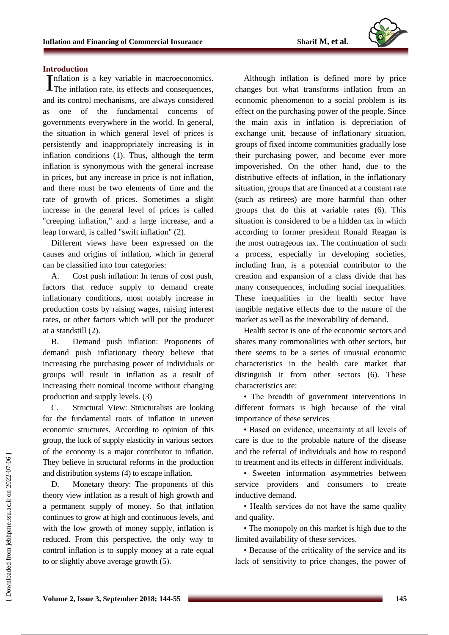

#### **Introduction**

Inflation is a key variable in macroeconomics. Inflation is a key variable in macroeconomics.<br>The inflation rate, its effects and consequences, and its control mechanisms, are always considered as one of the fundamental concerns of governments everywhere in the world. In general, the situation in which general level of prices is persistently and inappropriately increasing is in inflation conditions (1). Thus, although the term inflation is synonymous with the general increase in prices, but any increase in price is not inflation, and there must be two elements of time and the rate of growth of prices. Sometimes a slight increase in the general level of prices is called "creeping inflation," and a large increase, and a leap forward, is called "swift inflation" (2).

Different views have been expressed on the causes and origins of inflation, which in general can be classified into four categories:

A. Cost push inflation: In terms of cost push, factors that reduce supply to demand create inflationary conditions, most notably increase in production costs by raising wages, raising interest rates, or other factors which will put the producer at a standstill (2).

B. Demand push inflation: Proponents of demand push inflationary theory believe that increasing the purchasing power of individuals or groups will result in inflation as a result of increasing their nominal income without changing production and supply levels. (3)

C. Structural View: Structuralists are looking for the fundamental roots of inflation in uneven economic structures. According to opinion of this group, the luck of supply elasticity in various sectors of the economy is a major contributor to inflation. They believe in structural reforms in the production and distribution systems (4) to escape inflation.

D. Monetary theory: The proponents of this theory view inflation as a result of high growth and a permanent supply of money. So that inflation continues to grow at high and continuous levels, and with the low growth of money supply, inflation is reduced. From this perspective, the only way to control inflation is to supply money at a rate equal to or slightly above average growth (5).

Although inflation is defined more by price changes but what transforms inflation from an economic phenomenon to a social problem is its effect on the purchasing power of the people. Since the main axis in inflation is depreciation of exchange unit, because of inflationary situation, groups of fixed income communities gradually lose their purchasing power, and become ever more impoverished. On the other hand, due to the distributive effects of inflation, in the inflationary situation, groups that are financed at a constant rate (such as retirees) are more harmful than other groups that do this at variable rates (6). This situation is considered to be a hidden tax in which according to former president Ronald Reagan is the most outrageous tax. The continuation of such a process, especially in developing societies, including Iran, is a potential contributor to the creation and expansion of a class divide that has many consequences, including social inequalities. These inequalities in the health sector have tangible negative effects due to the nature of the market as well as the inexorability of demand.

Health sector is one of the economic sectors and shares many commonalities with other sectors, but there seems to be a series of unusual economic characteristics in the health care market that distinguish it from other sectors (6). These characteristics are:

• The breadth of government interventions in different formats is high because of the vital importance of these services

• Based on evidence, uncertainty at all levels of care is due to the probable nature of the disease and the referral of individuals and how to respond to treatment and its effects in different individuals.

• Sweeten information asymmetries between service providers and consumers to create inductive demand.

• Health services do not have the same quality and quality.

• The monopoly on this market is high due to the limited availability of these services.

• Because of the criticality of the service and its lack of sensitivity to price changes, the power of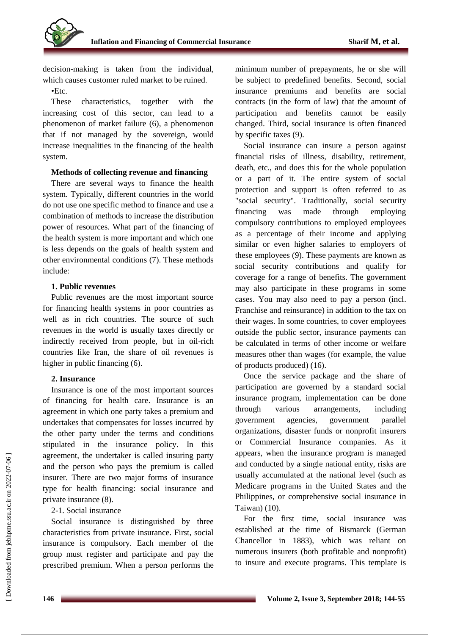

decision-making is taken from the individual, which causes customer ruled market to be ruined.

## •Etc.

These characteristics, together with the increasing cost of this sector, can lead to a phenomenon of market failure (6), a phenomenon that if not managed by the sovereign, would increase inequalities in the financing of the health system.

## **Methods of collecting revenue and financing**

There are several ways to finance the health system. Typically, different countries in the world do not use one specific method to finance and use a combination of methods to increase the distribution power of resources. What part of the financing of the health system is more important and which one is less depends on the goals of health system and other environmental conditions (7). These methods include:

## **1. Public revenues**

Public revenues are the most important source for financing health systems in poor countries as well as in rich countries. The source of such revenues in the world is usually taxes directly or indirectly received from people, but in oil-rich countries like Iran, the share of oil revenues is higher in public financing  $(6)$ .

## **2. Insurance**

Insurance is one of the most important sources of financing for health care. Insurance is an agreement in which one party takes a premium and undertakes that compensates for losses incurred by the other party under the terms and conditions stipulated in the insurance policy. In this agreement, the undertaker is called insuring party and the person who pays the premium is called insurer. There are two major forms of insurance type for health financing: social insurance and private insurance (8).

## 2-1. Social insurance

Social insurance is distinguished by three characteristics from private insurance. First, social insurance is compulsory. Each member of the group must register and participate and pay the prescribed premium. When a person performs the minimum number of prepayments, he or she will be subject to predefined benefits. Second, social insurance premiums and benefits are social contracts (in the form of law) that the amount of participation and benefits cannot be easily changed. Third, social insurance is often financed by specific taxes (9).

Social insurance can insure a person against financial risks of illness, disability, retirement, death, etc., and does this for the whole population or a part of it. The entire system of social protection and support is often referred to as "social security". Traditionally, social security financing was made through employing compulsory contributions to employed employees as a percentage of their income and applying similar or even higher salaries to employers of these employees (9). These payments are known as social security contributions and qualify for coverage for a range of benefits. The government may also participate in these programs in some cases. You may also need to pay a person (incl. Franchise and reinsurance) in addition to the tax on their wages. In some countries, to cover employees outside the public sector, insurance payments can be calculated in terms of other income or welfare measures other than wages (for example, the value of products produced) (16).

Once the service package and the share of participation are governed by a standard social insurance program, implementation can be done through various arrangements, including government agencies, government parallel organizations, disaster funds or nonprofit insurers or Commercial Insurance companies. As it appears, when the insurance program is managed and conducted by a single national entity, risks are usually accumulated at the national level (such as Medicare programs in the United States and the Philippines, or comprehensive social insurance in Taiwan) (10).

For the first time, social insurance was established at the time of Bismarck (German Chancellor in 1883), which was reliant on numerous insurers (both profitable and nonprofit) to insure and execute programs. This template is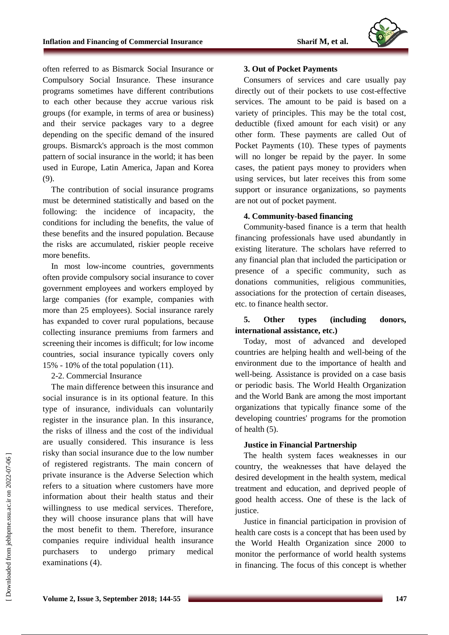often referred to as Bismarck Social Insurance or Compulsory Social Insurance. These insurance programs sometimes have different contributions to each other because they accrue various risk groups (for example, in terms of area or business) and their service packages vary to a degree depending on the specific demand of the insured groups. Bismarck's approach is the most common pattern of social insurance in the world; it has been used in Europe, Latin America, Japan and Korea (9).

The contribution of social insurance programs must be determined statistically and based on the following: the incidence of incapacity, the conditions for including the benefits, the value of these benefits and the insured population. Because the risks are accumulated, riskier people receive more benefits.

In most low-income countries, governments often provide compulsory social insurance to cover government employees and workers employed by large companies (for example, companies with more than 25 employees). Social insurance rarely has expanded to cover rural populations, because collecting insurance premiums from farmers and screening their incomes is difficult; for low income countries, social insurance typically covers only 15% - 10% of the total population  $(11)$ .

2-2. Commercial Insurance

The main difference between this insurance and social insurance is in its optional feature. In this type of insurance, individuals can voluntarily register in the insurance plan. In this insurance, the risks of illness and the cost of the individual are usually considered. This insurance is less risky than social insurance due to the low number of registered registrants. The main concern of private insurance is the Adverse Selection which refers to a situation where customers have more information about their health status and their willingness to use medical services. Therefore, they will choose insurance plans that will have the most benefit to them. Therefore, insurance companies require individual health insurance purchasers to undergo primary medical examinations (4).

## **3. Out of Pocket Payments**

Consumers of services and care usually pay directly out of their pockets to use cost-effective services. The amount to be paid is based on a variety of principles. This may be the total cost, deductible (fixed amount for each visit) or any other form. These payments are called Out of Pocket Payments (10). These types of payments will no longer be repaid by the payer. In some cases, the patient pays money to providers when using services, but later receives this from some support or insurance organizations, so payments are not out of pocket payment.

## **4. Community-based financing**

Community-based finance is a term that health financing professionals have used abundantly in existing literature. The scholars have referred to any financial plan that included the participation or presence of a specific community, such as donations communities, religious communities, associations for the protection of certain diseases, etc. to finance health sector.

## **5. Other types (including donors, international assistance, etc.)**

Today, most of advanced and developed countries are helping health and well-being of the environment due to the importance of health and well-being. Assistance is provided on a case basis or periodic basis. The World Health Organization and the World Bank are among the most important organizations that typically finance some of the developing countries' programs for the promotion of health (5).

## **Justice in Financial Partnership**

The health system faces weaknesses in our country, the weaknesses that have delayed the desired development in the health system, medical treatment and education, and deprived people of good health access. One of these is the lack of justice.

Justice in financial participation in provision of health care costs is a concept that has been used by the World Health Organization since 2000 to monitor the performance of world health systems in financing. The focus of this concept is whether

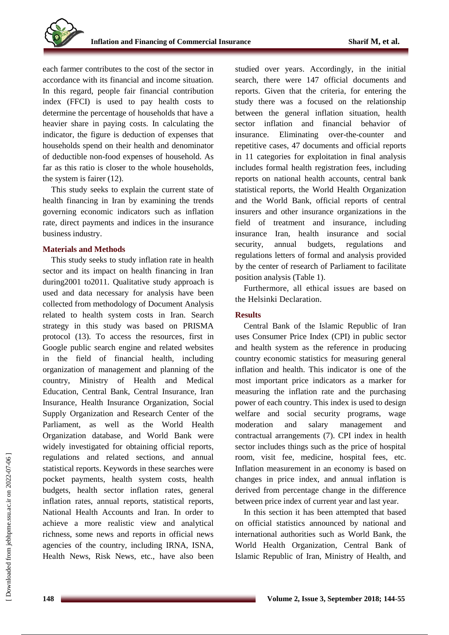each farmer contributes to the cost of the sector in accordance with its financial and income situation. In this regard, people fair financial contribution index (FFCI) is used to pay health costs to determine the percentage of households that have a heavier share in paying costs. In calculating the indicator, the figure is deduction of expenses that households spend on their health and denominator of deductible non-food expenses of household. As far as this ratio is closer to the whole households, the system is fairer (12).

This study seeks to explain the current state of health financing in Iran by examining the trends governing economic indicators such as inflation rate, direct payments and indices in the insurance business industry.

#### **Materials and Methods**

This study seeks to study inflation rate in health sector and its impact on health financing in Iran during2001 to2011. Qualitative study approach is used and data necessary for analysis have been collected from methodology of Document Analysis related to health system costs in Iran. Search strategy in this study was based on PRISMA protocol (13). To access the resources, first in Google public search engine and related websites in the field of financial health, including organization of management and planning of the country, Ministry of Health and Medical Education, Central Bank, Central Insurance, Iran Insurance, Health Insurance Organization, Social Supply Organization and Research Center of the Parliament, as well as the World Health Organization database, and World Bank were widely investigated for obtaining official reports, regulations and related sections, and annual statistical reports. Keywords in these searches were pocket payments, health system costs, health budgets, health sector inflation rates, general inflation rates, annual reports, statistical reports, National Health Accounts and Iran. In order to achieve a more realistic view and analytical richness, some news and reports in official news agencies of the country, including IRNA, ISNA, Health News, Risk News, etc., have also been studied over years. Accordingly, in the initial search, there were 147 official documents and reports. Given that the criteria, for entering the study there was a focused on the relationship between the general inflation situation, health sector inflation and financial behavior of insurance. Eliminating over-the-counter and repetitive cases, 47 documents and official reports in 11 categories for exploitation in final analysis includes formal health registration fees, including reports on national health accounts, central bank statistical reports, the World Health Organization and the World Bank, official reports of central insurers and other insurance organizations in the field of treatment and insurance, including insurance Iran, health insurance and social security, annual budgets, regulations and regulations letters of formal and analysis provided by the center of research of Parliament to facilitate position analysis (Table 1).

Furthermore, all ethical issues are based on the Helsinki Declaration.

#### **Results**

Central Bank of the Islamic Republic of Iran uses Consumer Price Index (CPI) in public sector and health system as the reference in producing country economic statistics for measuring general inflation and health. This indicator is one of the most important price indicators as a marker for measuring the inflation rate and the purchasing power of each country. This index is used to design welfare and social security programs, wage moderation and salary management and contractual arrangements (7). CPI index in health sector includes things such as the price of hospital room, visit fee, medicine, hospital fees, etc. Inflation measurement in an economy is based on changes in price index, and annual inflation is derived from percentage change in the difference between price index of current year and last year.

In this section it has been attempted that based on official statistics announced by national and international authorities such as World Bank, the World Health Organization, Central Bank of Islamic Republic of Iran, Ministry of Health, and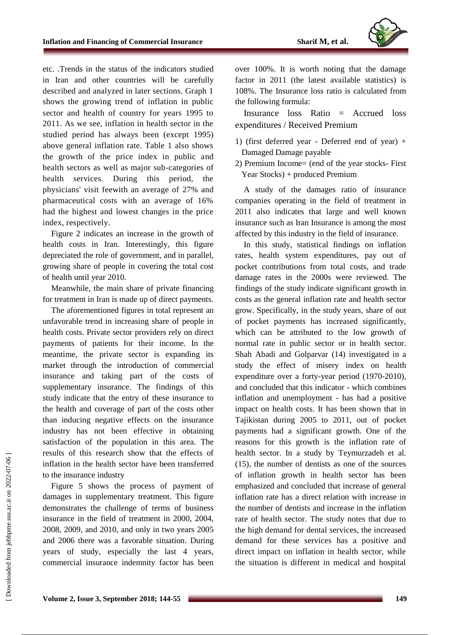etc. .Trends in the status of the indicators studied in Iran and other countries will be carefully described and analyzed in later sections. Graph 1 shows the growing trend of inflation in public sector and health of country for years 1995 to 2011. As we see, inflation in health sector in the studied period has always been (except 1995) above general inflation rate. Table 1 also shows the growth of the price index in public and health sectors as well as major sub-categories of health services. During this period, the physicians' visit feewith an average of 27% and pharmaceutical costs with an average of 16% had the highest and lowest changes in the price index, respectively.

Figure 2 indicates an increase in the growth of health costs in Iran. Interestingly, this figure depreciated the role of government, and in parallel, growing share of people in covering the total cost of health until year 2010.

Meanwhile, the main share of private financing for treatment in Iran is made up of direct payments.

The aforementioned figures in total represent an unfavorable trend in increasing share of people in health costs. Private sector providers rely on direct payments of patients for their income. In the meantime, the private sector is expanding its market through the introduction of commercial insurance and taking part of the costs of supplementary insurance. The findings of this study indicate that the entry of these insurance to the health and coverage of part of the costs other than inducing negative effects on the insurance industry has not been effective in obtaining satisfaction of the population in this area. The results of this research show that the effects of inflation in the health sector have been transferred to the insurance industry

Figure 5 shows the process of payment of damages in supplementary treatment. This figure demonstrates the challenge of terms of business insurance in the field of treatment in 2000, 2004, 2008, 2009, and 2010, and only in two years 2005 and 2006 there was a favorable situation. During years of study, especially the last 4 years, commercial insurance indemnity factor has been

over 100%. It is worth noting that the damage factor in 2011 (the latest available statistics) is 108%. The Insurance loss ratio is calculated from the following formula:

Insurance loss Ratio = Accrued loss expenditures / Received Premium

- 1) (first deferred year Deferred end of year) + Damaged Damage payable
- 2) Premium Income= (end of the year stocks- First Year Stocks) + produced Premium

A study of the damages ratio of insurance companies operating in the field of treatment in 2011 also indicates that large and well known insurance such as Iran Insurance is among the most affected by this industry in the field of insurance.

In this study, statistical findings on inflation rates, health system expenditures, pay out of pocket contributions from total costs, and trade damage rates in the 2000s were reviewed. The findings of the study indicate significant growth in costs as the general inflation rate and health sector grow. Specifically, in the study years, share of out of pocket payments has increased significantly, which can be attributed to the low growth of normal rate in public sector or in health sector. Shah Abadi and Golparvar (14) investigated in a study the effect of misery index on health expenditure over a forty-year period (1970-2010), and concluded that this indicator - which combines inflation and unemployment - has had a positive impact on health costs. It has been shown that in Tajikistan during 2005 to 2011, out of pocket payments had a significant growth. One of the reasons for this growth is the inflation rate of health sector. In a study by Teymurzadeh et al. (15), the number of dentists as one of the sources of inflation growth in health sector has been emphasized and concluded that increase of general inflation rate has a direct relation with increase in the number of dentists and increase in the inflation rate of health sector. The study notes that due to the high demand for dental services, the increased demand for these services has a positive and direct impact on inflation in health sector, while the situation is different in medical and hospital

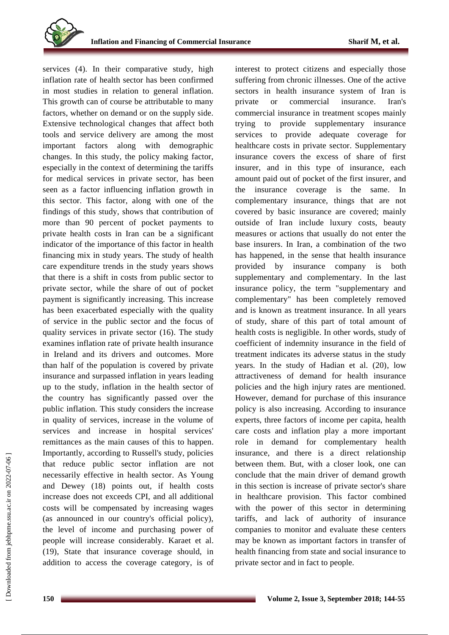

services (4). In their comparative study, high inflation rate of health sector has been confirmed in most studies in relation to general inflation. This growth can of course be attributable to many factors, whether on demand or on the supply side. Extensive technological changes that affect both tools and service delivery are among the most important factors along with demographic changes. In this study, the policy making factor, especially in the context of determining the tariffs for medical services in private sector, has been seen as a factor influencing inflation growth in this sector. This factor, along with one of the findings of this study, shows that contribution of more than 90 percent of pocket payments to private health costs in Iran can be a significant indicator of the importance of this factor in health financing mix in study years. The study of health care expenditure trends in the study years shows that there is a shift in costs from public sector to private sector, while the share of out of pocket payment is significantly increasing. This increase has been exacerbated especially with the quality of service in the public sector and the focus of quality services in private sector (16). The study examines inflation rate of private health insurance in Ireland and its drivers and outcomes. More than half of the population is covered by private insurance and surpassed inflation in years leading up to the study, inflation in the health sector of the country has significantly passed over the public inflation. This study considers the increase in quality of services, increase in the volume of services and increase in hospital services' remittances as the main causes of this to happen. Importantly, according to Russell's study, policies that reduce public sector inflation are not necessarily effective in health sector. As Young and Dewey (18) points out, if health costs increase does not exceeds CPI, and all additional costs will be compensated by increasing wages (as announced in our country's official policy), the level of income and purchasing power of people will increase considerably. Karaet et al. (19), State that insurance coverage should, in addition to access the coverage category, is of interest to protect citizens and especially those suffering from chronic illnesses. One of the active sectors in health insurance system of Iran is private or commercial insurance. Iran's commercial insurance in treatment scopes mainly trying to provide supplementary insurance services to provide adequate coverage for healthcare costs in private sector. Supplementary insurance covers the excess of share of first insurer, and in this type of insurance, each amount paid out of pocket of the first insurer, and the insurance coverage is the same. In complementary insurance, things that are not covered by basic insurance are covered; mainly outside of Iran include luxury costs, beauty measures or actions that usually do not enter the base insurers. In Iran, a combination of the two has happened, in the sense that health insurance provided by insurance company is both supplementary and complementary. In the last insurance policy, the term "supplementary and complementary" has been completely removed and is known as treatment insurance. In all years of study, share of this part of total amount of health costs is negligible. In other words, study of coefficient of indemnity insurance in the field of treatment indicates its adverse status in the study years. In the study of Hadian et al. (20), low attractiveness of demand for health insurance policies and the high injury rates are mentioned. However, demand for purchase of this insurance policy is also increasing. According to insurance experts, three factors of income per capita, health care costs and inflation play a more important role in demand for complementary health insurance, and there is a direct relationship between them. But, with a closer look, one can conclude that the main driver of demand growth in this section is increase of private sector's share in healthcare provision. This factor combined with the power of this sector in determining tariffs, and lack of authority of insurance companies to monitor and evaluate these centers may be known as important factors in transfer of health financing from state and social insurance to private sector and in fact to people.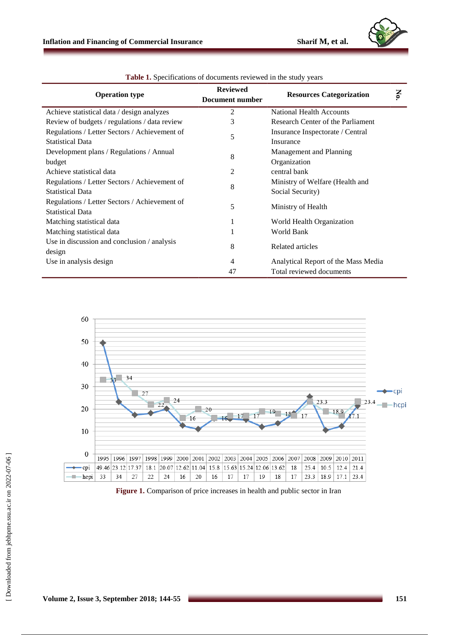

| <b>Operation type</b>                         | <b>Reviewed</b> | <b>Resources Categorization</b>     |     |
|-----------------------------------------------|-----------------|-------------------------------------|-----|
|                                               | Document number |                                     | No. |
| Achieve statistical data / design analyzes    | 2               | <b>National Health Accounts</b>     |     |
| Review of budgets / regulations / data review | 3               | Research Center of the Parliament   |     |
| Regulations / Letter Sectors / Achievement of | 5               | Insurance Inspectorate / Central    |     |
| <b>Statistical Data</b>                       |                 | Insurance                           |     |
| Development plans / Regulations / Annual      | 8               | Management and Planning             |     |
| budget                                        |                 | Organization                        |     |
| Achieve statistical data                      | 2               | central bank                        |     |
| Regulations / Letter Sectors / Achievement of | 8               | Ministry of Welfare (Health and     |     |
| <b>Statistical Data</b>                       |                 | Social Security)                    |     |
| Regulations / Letter Sectors / Achievement of | 5               | Ministry of Health                  |     |
| <b>Statistical Data</b>                       |                 |                                     |     |
| Matching statistical data                     | 1               | World Health Organization           |     |
| Matching statistical data                     |                 | World Bank                          |     |
| Use in discussion and conclusion / analysis   | 8               | Related articles                    |     |
| design                                        |                 |                                     |     |
| Use in analysis design                        | 4               | Analytical Report of the Mass Media |     |
|                                               | 47              | Total reviewed documents            |     |

**Table 1.** Specifications of documents reviewed in the study years



**Figure 1.** Comparison of price increases in health and public sector in Iran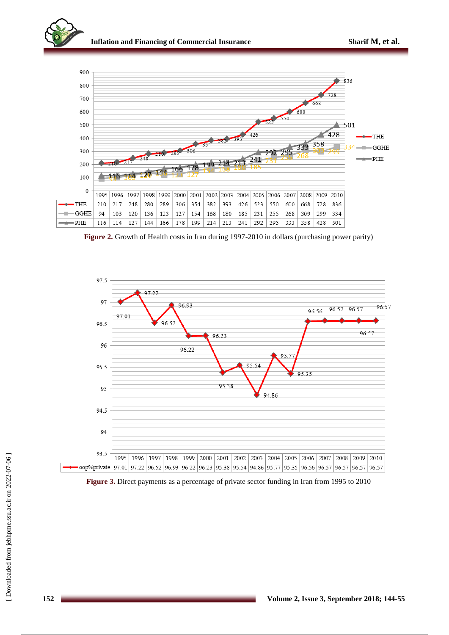



**Figure 2.** Growth of Health costs in Iran during 1997-2010 in dollars (purchasing power parity)



**Figure 3.** Direct payments as a percentage of private sector funding in Iran from 1995 to 2010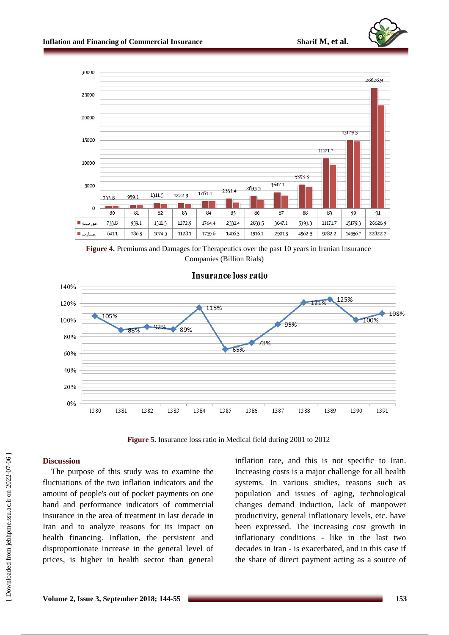

**Figure 4.** Premiums and Damages for Therapeutics over the past 10 years in Iranian Insurance Companies (Billion Rials)



**Figure 5.** Insurance loss ratio in Medical field during 2001 to 2012

## **Discussion**

The purpose of this study was to examine the fluctuations of the two inflation indicators and the amount of people's out of pocket payments on one hand and performance indicators of commercial insurance in the area of treatment in last decade in Iran and to analyze reasons for its impact on health financing. Inflation, the persistent and disproportionate increase in the general level of prices, is higher in health sector than general

inflation rate, and this is not specific to Iran. Increasing costs is a major challenge for all health systems. In various studies, reasons such as population and issues of aging, technological changes demand induction, lack of manpower productivity, general inflationary levels, etc. have been expressed. The increasing cost growth in inflationary conditions - like in the last two decades in Iran - is exacerbated, and in this case if the share of direct payment acting as a source of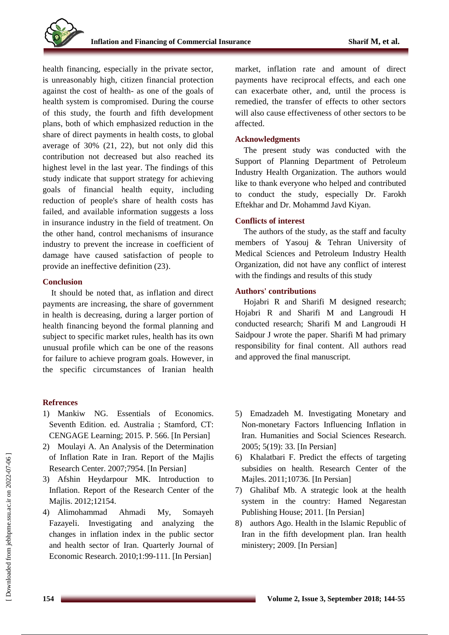health financing, especially in the private sector, is unreasonably high, citizen financial protection against the cost of health- as one of the goals of health system is compromised. During the course of this study, the fourth and fifth development plans, both of which emphasized reduction in the share of direct payments in health costs, to global average of 30% (21, 22), but not only did this contribution not decreased but also reached its highest level in the last year. The findings of this study indicate that support strategy for achieving goals of financial health equity, including reduction of people's share of health costs has failed, and available information suggests a loss in insurance industry in the field of treatment. On the other hand, control mechanisms of insurance industry to prevent the increase in coefficient of damage have caused satisfaction of people to provide an ineffective definition (23).

## **Conclusion**

It should be noted that, as inflation and direct payments are increasing, the share of government in health is decreasing, during a larger portion of health financing beyond the formal planning and subject to specific market rules, health has its own unusual profile which can be one of the reasons for failure to achieve program goals. However, in the specific circumstances of Iranian health

## **Refrences**

- 1) Mankiw NG. Essentials of Economics. Seventh Edition. ed. Australia ; Stamford, CT: CENGAGE Learning; 2015. P. 566. [In Persian]
- 2) Moulayi A. An Analysis of the Determination of Inflation Rate in Iran. Report of the Majlis Research Center. 2007;7954. [In Persian]
- 3) Afshin Heydarpour MK. Introduction to Inflation. Report of the Research Center of the Majlis. 2012;12154.
- 4) Alimohammad Ahmadi My, Somayeh Fazayeli. Investigating and analyzing the changes in inflation index in the public sector and health sector of Iran. Quarterly Journal of Economic Research. 2010;1:99-111. [In Persian]

market, inflation rate and amount of direct payments have reciprocal effects, and each one can exacerbate other, and, until the process is remedied, the transfer of effects to other sectors will also cause effectiveness of other sectors to be affected.

## **Acknowledgments**

The present study was conducted with the Support of Planning Department of Petroleum Industry Health Organization. The authors would like to thank everyone who helped and contributed to conduct the study, especially Dr. Farokh Eftekhar and Dr. Mohammd Javd Kiyan.

## **Conflicts of interest**

The authors of the study, as the staff and faculty members of Yasouj & Tehran University of Medical Sciences and Petroleum Industry Health Organization, did not have any conflict of interest with the findings and results of this study

## **Authors' contributions**

Hojabri R and Sharifi M designed research; Hojabri R and Sharifi M and Langroudi H conducted research; Sharifi M and Langroudi H Saidpour J wrote the paper. Sharifi M had primary responsibility for final content. All authors read and approved the final manuscript.

- 5) Emadzadeh M. Investigating Monetary and Non-monetary Factors Influencing Inflation in Iran. Humanities and Social Sciences Research. 2005; 5(19): 33. [In Persian]
- 6) Khalatbari F. Predict the effects of targeting subsidies on health. Research Center of the Majles. 2011;10736. [In Persian]
- 7) Ghalibaf Mb. A strategic look at the health system in the country: Hamed Negarestan Publishing House; 2011. [In Persian]
- 8) authors Ago. Health in the Islamic Republic of Iran in the fifth development plan. Iran health ministery; 2009. [In Persian]